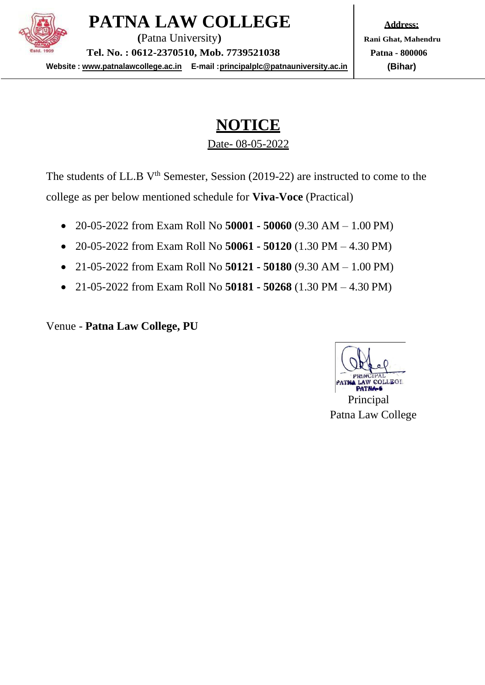

**PATNA LAW COLLEGE**

**(**Patna University**) Tel. No. : 0612-2370510, Mob. 7739521038**

**Website : [www.patnalawcollege.ac.in](http://www.patnalawcollege.ac.in/) E-mail [:principalplc@patnauniversity.ac.in](mailto:principalplc@patnauniversity.ac.in)**

**Address: Rani Ghat, Mahendru Patna - 800006 (Bihar)**

# **NOTICE** Date- 08-05-2022

The students of LL.B V<sup>th</sup> Semester, Session (2019-22) are instructed to come to the college as per below mentioned schedule for **Viva-Voce** (Practical)

- 20-05-2022 from Exam Roll No **50001 - 50060** (9.30 AM 1.00 PM)
- 20-05-2022 from Exam Roll No **50061 - 50120** (1.30 PM 4.30 PM)
- 21-05-2022 from Exam Roll No **50121 - 50180** (9.30 AM 1.00 PM)
- 21-05-2022 from Exam Roll No **50181 - 50268** (1.30 PM 4.30 PM)

Venue - **Patna Law College, PU**

Principal Patna Law College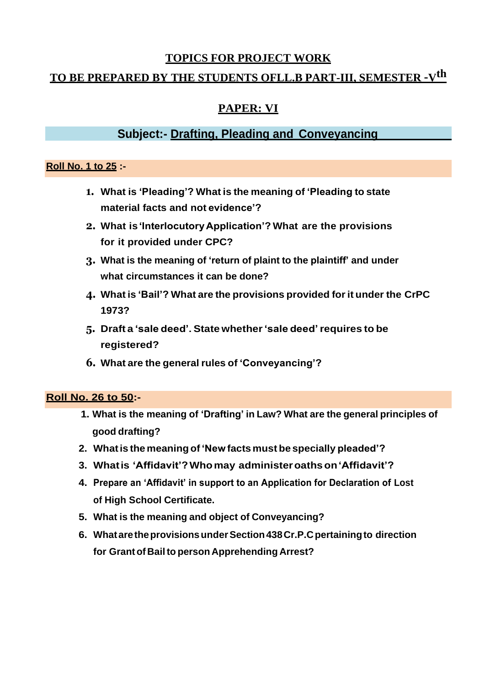# **TOPICS FOR PROJECT WORK**

# **TO BE PREPARED BY THE STUDENTS OFLL.B PART-III, SEMESTER –Vth**

# **PAPER: VI**

# **Subject:- Drafting, Pleading and Conveyancing**

#### **Roll No. 1 to 25 :-**

- **1. What is 'Pleading'? What is the meaning of 'Pleading to state material facts and not evidence'?**
- **2. What is'InterlocutoryApplication'? What are the provisions for it provided under CPC?**
- **3. What is the meaning of 'return of plaint to the plaintiff' and under what circumstances it can be done?**
- **4. What is 'Bail'? What are the provisions provided forit under the CrPC 1973?**
- **5. Draft a 'sale deed'. State whether'sale deed'requires to be registered?**
- **6. What are the general rules of 'Conveyancing'?**

#### **Roll No. 26 to 50:-**

- **1. What is the meaning of 'Drafting' in Law? What are the general principles of good drafting?**
- **2. Whatis themeaning of'New facts must be specially pleaded'?**
- **3. Whatis 'Affidavit'?Whomay administeroathson'Affidavit'?**
- **4. Prepare an 'Affidavit' in support to an Application for Declaration of Lost of High School Certificate.**
- **5. What is the meaning and object of Conveyancing?**
- **6. WhataretheprovisionsunderSection438Cr.P.Cpertainingto direction for Grantof Bailto person Apprehending Arrest?**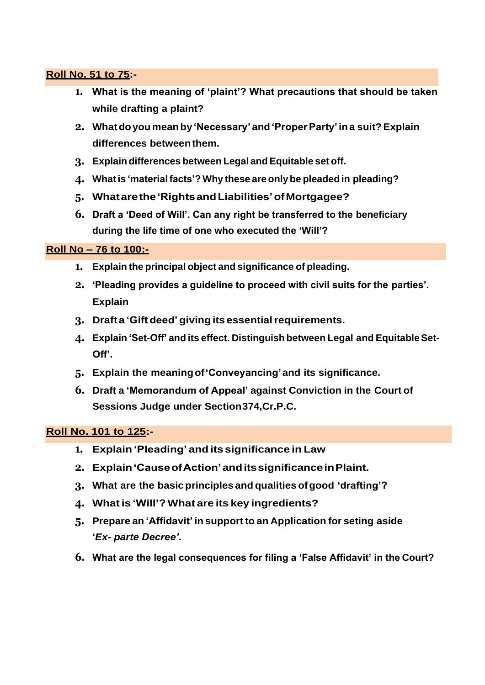# **Roll No. 51 to 75:-**

- **1. What is the meaning of 'plaint'? What precautions that should be taken while drafting a plaint?**
- **2. Whatdoyou meanby'Necessary' and'ProperParty' ina suit?Explain differences betweenthem.**
- **3. Explain differences between Legal and Equitable set off.**
- **4. Whatis 'material facts'? Why these are only be pleaded in pleading?**
- **5. Whatarethe'RightsandLiabilities'ofMortgagee?**
- **6. Draft a 'Deed of Will'. Can any right be transferred to the beneficiary during the life time of one who executed the 'Will'?**

#### **Roll No – 76 to 100:-**

- **1. Explain the principal object and significance of pleading.**
- **2. 'Pleading provides a guideline to proceed with civil suits for the parties'. Explain**
- **3. Draft a 'Gift deed' giving its essentialrequirements.**
- **4. Explain 'Set-Off' and its effect. Distinguish between Legal and EquitableSet-Off'.**
- **5. Explain the meaningof'Conveyancing'and its significance.**
- **6. Draft a 'Memorandum of Appeal' against Conviction in the Court of Sessions Judge under Section374,Cr.P.C.**

#### **Roll No. 101 to 125:-**

- **1. Explain'Pleading' andits significance in Law**
- **2. Explain'CauseofAction'anditssignificanceinPlaint.**
- **3. What are the basicprinciples and qualities ofgood 'drafting'?**
- **4. Whatis 'Will'? What are its key ingredients?**
- **5. Prepare an 'Affidavit' in support to an Application for seting aside '***Ex- parte Decree'***.**
- **6. What are the legal consequences for filing a 'False Affidavit' in the Court?**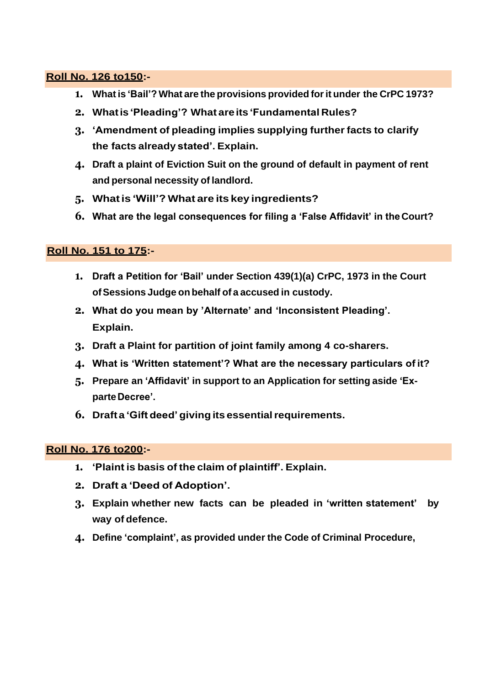#### **Roll No. 126 to150:-**

- **1. What is 'Bail'? What are the provisions provided forit under the CrPC 1973?**
- **2. Whatis 'Pleading'? What areits 'Fundamental Rules?**
- **3. 'Amendment of pleading implies supplying further facts to clarify the facts already stated'. Explain.**
- **4. Draft a plaint of Eviction Suit on the ground of default in payment of rent and personal necessity of landlord.**
- **5. Whatis 'Will'? What are its key ingredients?**
- **6. What are the legal consequences for filing a 'False Affidavit' in the Court?**

# **Roll No. 151 to 175:-**

- **1. Draft a Petition for 'Bail' under Section 439(1)(a) CrPC, 1973 in the Court ofSessions Judge onbehalf of a accused in custody.**
- **2. What do you mean by 'Alternate' and 'Inconsistent Pleading'. Explain.**
- **3. Draft a Plaint for partition of joint family among 4 co-sharers.**
- **4. What is 'Written statement'? What are the necessary particulars of it?**
- **5. Prepare an 'Affidavit' in support to an Application for setting aside 'ExparteDecree'.**
- **6. Draft a 'Gift deed' giving its essentialrequirements.**

# **Roll No. 176 to200:-**

- **1. 'Plaint is basis of the claim of plaintiff'. Explain.**
- **2. Draft a 'Deed of Adoption'.**
- **3. Explain whether new facts can be pleaded in 'written statement' by way of defence.**
- **4. Define 'complaint', as provided under the Code of Criminal Procedure,**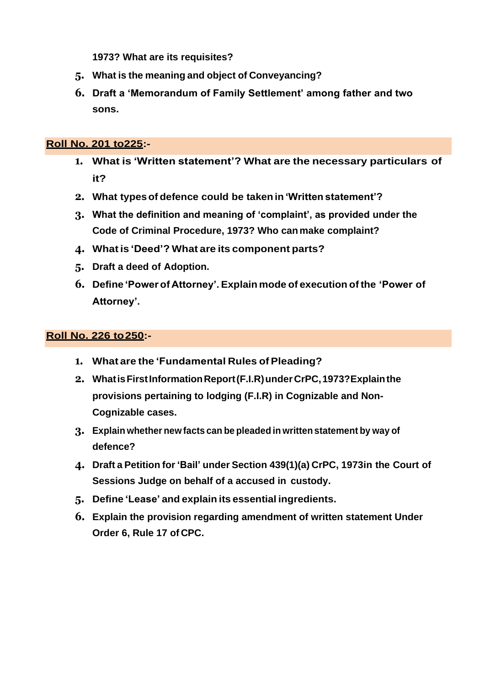**1973? What are its requisites?**

- **5. What is the meaning and object of Conveyancing?**
- **6. Draft a 'Memorandum of Family Settlement' among father and two sons.**

# **Roll No. 201 to225:-**

- **1. What is 'Written statement'? What are the necessary particulars of it?**
- **2. What typesof defence could be takenin 'Written statement'?**
- **3. What the definition and meaning of 'complaint', as provided under the Code of Criminal Procedure, 1973? Who canmake complaint?**
- **4. What is 'Deed'? What are its component parts?**
- **5. Draft a deed of Adoption.**
- **6. Define 'Power of Attorney'. Explain mode of execution of the 'Power of Attorney'.**

# **Roll No. 226 to250:-**

- **1. What are the 'Fundamental Rules ofPleading?**
- **2. WhatisFirstInformationReport(F.I.R)underCrPC,1973?Explainthe provisions pertaining to lodging (F.I.R) in Cognizable and Non-Cognizable cases.**
- **3. Explain whether new facts can be pleaded in writtenstatement by way of defence?**
- **4. Draft a Petition for 'Bail' under Section 439(1)(a) CrPC, 1973in the Court of Sessions Judge on behalf of a accused in custody.**
- **5. Define 'Lease' and explain its essential ingredients.**
- **6. Explain the provision regarding amendment of written statement Under Order 6, Rule 17 of CPC.**